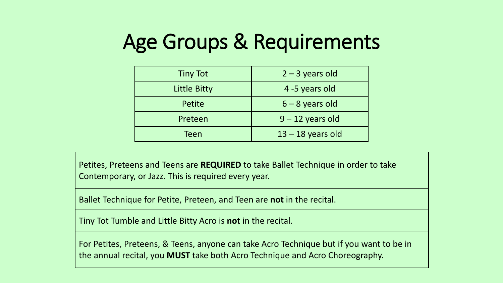## Age Groups & Requirements

| <b>Tiny Tot</b> | $2 - 3$ years old   |  |  |  |
|-----------------|---------------------|--|--|--|
| Little Bitty    | 4 -5 years old      |  |  |  |
| Petite          | $6 - 8$ years old   |  |  |  |
| Preteen         | $9 - 12$ years old  |  |  |  |
| Teen            | $13 - 18$ years old |  |  |  |

Petites, Preteens and Teens are **REQUIRED** to take Ballet Technique in order to take Contemporary, or Jazz. This is required every year.

Ballet Technique for Petite, Preteen, and Teen are **not** in the recital.

Tiny Tot Tumble and Little Bitty Acro is **not** in the recital.

For Petites, Preteens, & Teens, anyone can take Acro Technique but if you want to be in the annual recital, you **MUST** take both Acro Technique and Acro Choreography.